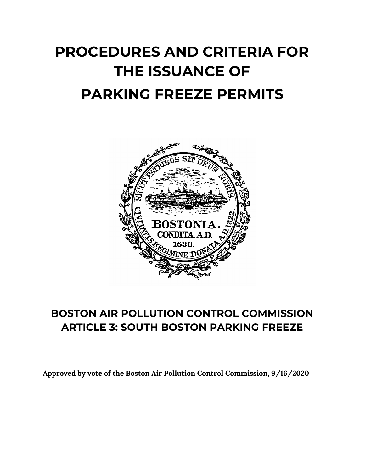# **PROCEDURES AND CRITERIA FOR THE ISSUANCE OF PARKING FREEZE PERMITS**



## **BOSTON AIR POLLUTION CONTROL COMMISSION ARTICLE 3: SOUTH BOSTON PARKING FREEZE**

**Approved by vote of the Boston Air Pollution Control Commission, 9/16/2020**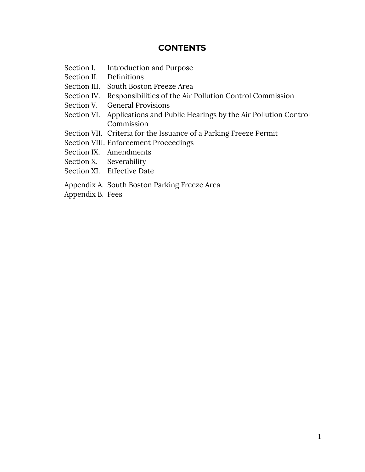#### **CONTENTS**

- Section I. Introduction and Purpose
- Section II. Definitions
- Section III. South Boston Freeze Area
- Section IV. Responsibilities of the Air Pollution Control Commission
- Section V. General Provisions
- Section VI. Applications and Public Hearings by the Air Pollution Control Commission
- Section VII. Criteria for the Issuance of a Parking Freeze Permit
- Section VIII. Enforcement Proceedings
- Section IX. Amendments
- Section X. Severability
- Section XI. Effective Date
- Appendix A. South Boston Parking Freeze Area
- Appendix B. Fees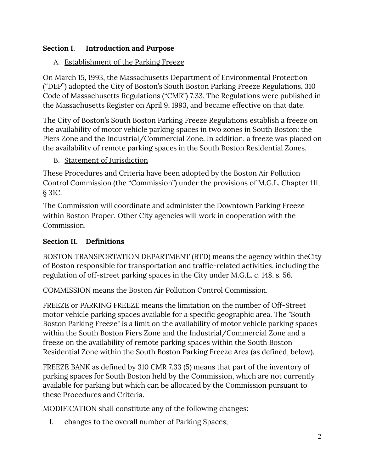#### **Section I. Introduction and Purpose**

#### A. Establishment of the Parking Freeze

On March 15, 1993, the Massachusetts Department of Environmental Protection ("DEP") adopted the City of Boston's South Boston Parking Freeze Regulations, 310 Code of Massachusetts Regulations ("CMR") 7.33. The Regulations were published in the Massachusetts Register on April 9, 1993, and became effective on that date.

The City of Boston's South Boston Parking Freeze Regulations establish a freeze on the availability of motor vehicle parking spaces in two zones in South Boston: the Piers Zone and the Industrial/Commercial Zone. In addition, a freeze was placed on the availability of remote parking spaces in the South Boston Residential Zones.

B. Statement of Jurisdiction

These Procedures and Criteria have been adopted by the Boston Air Pollution Control Commission (the "Commission") under the provisions of M.G.L. Chapter 111, § 31C.

The Commission will coordinate and administer the Downtown Parking Freeze within Boston Proper. Other City agencies will work in cooperation with the Commission.

#### **Section II. Definitions**

BOSTON TRANSPORTATION DEPARTMENT (BTD) means the agency within theCity of Boston responsible for transportation and traffic-related activities, including the regulation of off-street parking spaces in the City under M.G.L. c. 148. s. 56.

COMMISSION means the Boston Air Pollution Control Commission.

FREEZE or PARKING FREEZE means the limitation on the number of Off-Street motor vehicle parking spaces available for a specific geographic area. The "South Boston Parking Freeze" is a limit on the availability of motor vehicle parking spaces within the South Boston Piers Zone and the Industrial/Commercial Zone and a freeze on the availability of remote parking spaces within the South Boston Residential Zone within the South Boston Parking Freeze Area (as defined, below).

FREEZE BANK as defined by 310 CMR 7.33 (5) means that part of the inventory of parking spaces for South Boston held by the Commission, which are not currently available for parking but which can be allocated by the Commission pursuant to these Procedures and Criteria.

MODIFICATION shall constitute any of the following changes:

I. changes to the overall number of Parking Spaces;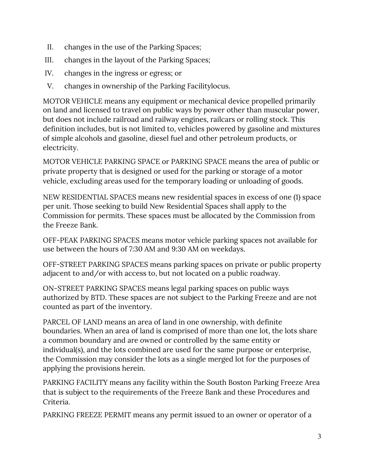- II. changes in the use of the Parking Spaces;
- III. changes in the layout of the Parking Spaces;
- IV. changes in the ingress or egress; or
- V. changes in ownership of the Parking Facilitylocus.

MOTOR VEHICLE means any equipment or mechanical device propelled primarily on land and licensed to travel on public ways by power other than muscular power, but does not include railroad and railway engines, railcars or rolling stock. This definition includes, but is not limited to, vehicles powered by gasoline and mixtures of simple alcohols and gasoline, diesel fuel and other petroleum products, or electricity.

MOTOR VEHICLE PARKING SPACE or PARKING SPACE means the area of public or private property that is designed or used for the parking or storage of a motor vehicle, excluding areas used for the temporary loading or unloading of goods.

NEW RESIDENTIAL SPACES means new residential spaces in excess of one (1) space per unit. Those seeking to build New Residential Spaces shall apply to the Commission for permits. These spaces must be allocated by the Commission from the Freeze Bank.

OFF-PEAK PARKING SPACES means motor vehicle parking spaces not available for use between the hours of 7:30 AM and 9:30 AM on weekdays.

OFF-STREET PARKING SPACES means parking spaces on private or public property adjacent to and/or with access to, but not located on a public roadway.

ON-STREET PARKING SPACES means legal parking spaces on public ways authorized by BTD. These spaces are not subject to the Parking Freeze and are not counted as part of the inventory.

PARCEL OF LAND means an area of land in one ownership, with definite boundaries. When an area of land is comprised of more than one lot, the lots share a common boundary and are owned or controlled by the same entity or individual(s), and the lots combined are used for the same purpose or enterprise, the Commission may consider the lots as a single merged lot for the purposes of applying the provisions herein.

PARKING FACILITY means any facility within the South Boston Parking Freeze Area that is subject to the requirements of the Freeze Bank and these Procedures and Criteria.

PARKING FREEZE PERMIT means any permit issued to an owner or operator of a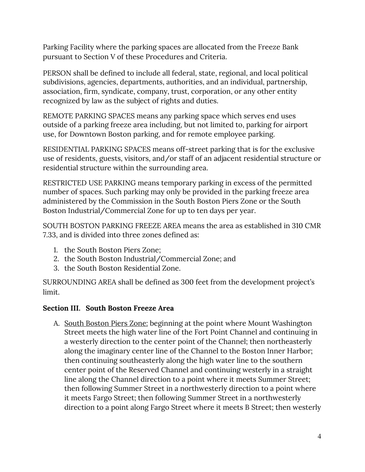Parking Facility where the parking spaces are allocated from the Freeze Bank pursuant to Section V of these Procedures and Criteria.

PERSON shall be defined to include all federal, state, regional, and local political subdivisions, agencies, departments, authorities, and an individual, partnership, association, firm, syndicate, company, trust, corporation, or any other entity recognized by law as the subject of rights and duties.

REMOTE PARKING SPACES means any parking space which serves end uses outside of a parking freeze area including, but not limited to, parking for airport use, for Downtown Boston parking, and for remote employee parking.

RESIDENTIAL PARKING SPACES means off-street parking that is for the exclusive use of residents, guests, visitors, and/or staff of an adjacent residential structure or residential structure within the surrounding area.

RESTRICTED USE PARKING means temporary parking in excess of the permitted number of spaces. Such parking may only be provided in the parking freeze area administered by the Commission in the South Boston Piers Zone or the South Boston Industrial/Commercial Zone for up to ten days per year.

SOUTH BOSTON PARKING FREEZE AREA means the area as established in 310 CMR 7.33, and is divided into three zones defined as:

- 1. the South Boston Piers Zone;
- 2. the South Boston Industrial/Commercial Zone; and
- 3. the South Boston Residential Zone.

SURROUNDING AREA shall be defined as 300 feet from the development project's limit.

#### **Section III. South Boston Freeze Area**

A. South Boston Piers Zone: beginning at the point where Mount Washington Street meets the high water line of the Fort Point Channel and continuing in a westerly direction to the center point of the Channel; then northeasterly along the imaginary center line of the Channel to the Boston Inner Harbor; then continuing southeasterly along the high water line to the southern center point of the Reserved Channel and continuing westerly in a straight line along the Channel direction to a point where it meets Summer Street; then following Summer Street in a northwesterly direction to a point where it meets Fargo Street; then following Summer Street in a northwesterly direction to a point along Fargo Street where it meets B Street; then westerly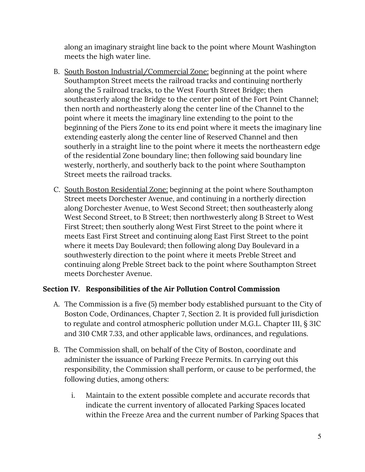along an imaginary straight line back to the point where Mount Washington meets the high water line.

- B. South Boston Industrial/Commercial Zone: beginning at the point where Southampton Street meets the railroad tracks and continuing northerly along the 5 railroad tracks, to the West Fourth Street Bridge; then southeasterly along the Bridge to the center point of the Fort Point Channel; then north and northeasterly along the center line of the Channel to the point where it meets the imaginary line extending to the point to the beginning of the Piers Zone to its end point where it meets the imaginary line extending easterly along the center line of Reserved Channel and then southerly in a straight line to the point where it meets the northeastern edge of the residential Zone boundary line; then following said boundary line westerly, northerly, and southerly back to the point where Southampton Street meets the railroad tracks.
- C. South Boston Residential Zone: beginning at the point where Southampton Street meets Dorchester Avenue, and continuing in a northerly direction along Dorchester Avenue, to West Second Street; then southeasterly along West Second Street, to B Street; then northwesterly along B Street to West First Street; then southerly along West First Street to the point where it meets East First Street and continuing along East First Street to the point where it meets Day Boulevard; then following along Day Boulevard in a southwesterly direction to the point where it meets Preble Street and continuing along Preble Street back to the point where Southampton Street meets Dorchester Avenue.

#### **Section IV. Responsibilities of the Air Pollution Control Commission**

- A. The Commission is a five (5) member body established pursuant to the City of Boston Code, Ordinances, Chapter 7, Section 2. It is provided full jurisdiction to regulate and control atmospheric pollution under M.G.L. Chapter 111, § 31C and 310 CMR 7.33, and other applicable laws, ordinances, and regulations.
- B. The Commission shall, on behalf of the City of Boston, coordinate and administer the issuance of Parking Freeze Permits. In carrying out this responsibility, the Commission shall perform, or cause to be performed, the following duties, among others:
	- i. Maintain to the extent possible complete and accurate records that indicate the current inventory of allocated Parking Spaces located within the Freeze Area and the current number of Parking Spaces that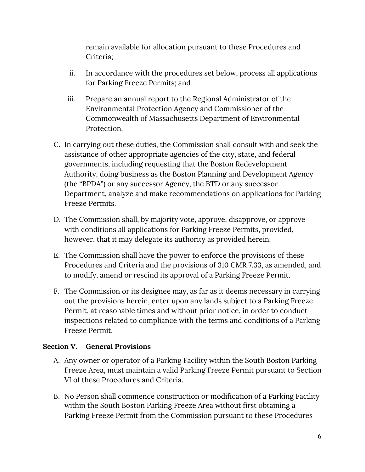remain available for allocation pursuant to these Procedures and Criteria;

- ii. In accordance with the procedures set below, process all applications for Parking Freeze Permits; and
- iii. Prepare an annual report to the Regional Administrator of the Environmental Protection Agency and Commissioner of the Commonwealth of Massachusetts Department of Environmental Protection.
- C. In carrying out these duties, the Commission shall consult with and seek the assistance of other appropriate agencies of the city, state, and federal governments, including requesting that the Boston Redevelopment Authority, doing business as the Boston Planning and Development Agency (the "BPDA") or any successor Agency, the BTD or any successor Department, analyze and make recommendations on applications for Parking Freeze Permits.
- D. The Commission shall, by majority vote, approve, disapprove, or approve with conditions all applications for Parking Freeze Permits, provided, however, that it may delegate its authority as provided herein.
- E. The Commission shall have the power to enforce the provisions of these Procedures and Criteria and the provisions of 310 CMR 7.33, as amended, and to modify, amend or rescind its approval of a Parking Freeze Permit.
- F. The Commission or its designee may, as far as it deems necessary in carrying out the provisions herein, enter upon any lands subject to a Parking Freeze Permit, at reasonable times and without prior notice, in order to conduct inspections related to compliance with the terms and conditions of a Parking Freeze Permit.

#### **Section V. General Provisions**

- A. Any owner or operator of a Parking Facility within the South Boston Parking Freeze Area, must maintain a valid Parking Freeze Permit pursuant to Section VI of these Procedures and Criteria.
- B. No Person shall commence construction or modification of a Parking Facility within the South Boston Parking Freeze Area without first obtaining a Parking Freeze Permit from the Commission pursuant to these Procedures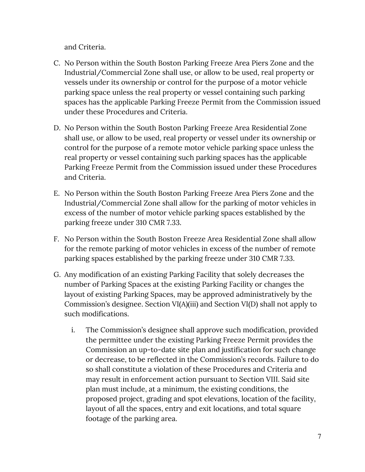and Criteria.

- C. No Person within the South Boston Parking Freeze Area Piers Zone and the Industrial/Commercial Zone shall use, or allow to be used, real property or vessels under its ownership or control for the purpose of a motor vehicle parking space unless the real property or vessel containing such parking spaces has the applicable Parking Freeze Permit from the Commission issued under these Procedures and Criteria.
- D. No Person within the South Boston Parking Freeze Area Residential Zone shall use, or allow to be used, real property or vessel under its ownership or control for the purpose of a remote motor vehicle parking space unless the real property or vessel containing such parking spaces has the applicable Parking Freeze Permit from the Commission issued under these Procedures and Criteria.
- E. No Person within the South Boston Parking Freeze Area Piers Zone and the Industrial/Commercial Zone shall allow for the parking of motor vehicles in excess of the number of motor vehicle parking spaces established by the parking freeze under 310 CMR 7.33.
- F. No Person within the South Boston Freeze Area Residential Zone shall allow for the remote parking of motor vehicles in excess of the number of remote parking spaces established by the parking freeze under 310 CMR 7.33.
- G. Any modification of an existing Parking Facility that solely decreases the number of Parking Spaces at the existing Parking Facility or changes the layout of existing Parking Spaces, may be approved administratively by the Commission's designee. Section VI(A)(iii) and Section VI(D) shall not apply to such modifications.
	- i. The Commission's designee shall approve such modification, provided the permittee under the existing Parking Freeze Permit provides the Commission an up-to-date site plan and justification for such change or decrease, to be reflected in the Commission's records. Failure to do so shall constitute a violation of these Procedures and Criteria and may result in enforcement action pursuant to Section VIII. Said site plan must include, at a minimum, the existing conditions, the proposed project, grading and spot elevations, location of the facility, layout of all the spaces, entry and exit locations, and total square footage of the parking area.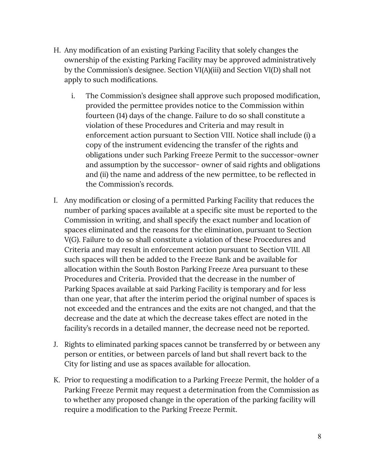- H. Any modification of an existing Parking Facility that solely changes the ownership of the existing Parking Facility may be approved administratively by the Commission's designee. Section VI(A)(iii) and Section VI(D) shall not apply to such modifications.
	- i. The Commission's designee shall approve such proposed modification, provided the permittee provides notice to the Commission within fourteen (14) days of the change. Failure to do so shall constitute a violation of these Procedures and Criteria and may result in enforcement action pursuant to Section VIII. Notice shall include (i) a copy of the instrument evidencing the transfer of the rights and obligations under such Parking Freeze Permit to the successor-owner and assumption by the successor- owner of said rights and obligations and (ii) the name and address of the new permittee, to be reflected in the Commission's records.
- I. Any modification or closing of a permitted Parking Facility that reduces the number of parking spaces available at a specific site must be reported to the Commission in writing, and shall specify the exact number and location of spaces eliminated and the reasons for the elimination, pursuant to Section V(G). Failure to do so shall constitute a violation of these Procedures and Criteria and may result in enforcement action pursuant to Section VIII. All such spaces will then be added to the Freeze Bank and be available for allocation within the South Boston Parking Freeze Area pursuant to these Procedures and Criteria. Provided that the decrease in the number of Parking Spaces available at said Parking Facility is temporary and for less than one year, that after the interim period the original number of spaces is not exceeded and the entrances and the exits are not changed, and that the decrease and the date at which the decrease takes effect are noted in the facility's records in a detailed manner, the decrease need not be reported.
- J. Rights to eliminated parking spaces cannot be transferred by or between any person or entities, or between parcels of land but shall revert back to the City for listing and use as spaces available for allocation.
- K. Prior to requesting a modification to a Parking Freeze Permit, the holder of a Parking Freeze Permit may request a determination from the Commission as to whether any proposed change in the operation of the parking facility will require a modification to the Parking Freeze Permit.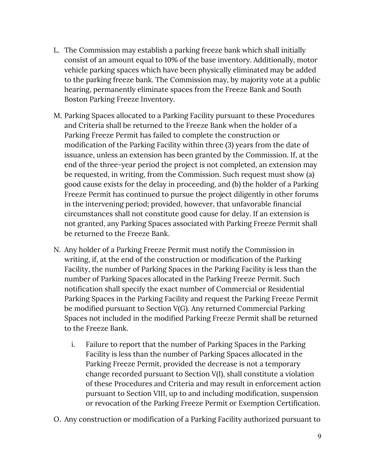- L. The Commission may establish a parking freeze bank which shall initially consist of an amount equal to 10% of the base inventory. Additionally, motor vehicle parking spaces which have been physically eliminated may be added to the parking freeze bank. The Commission may, by majority vote at a public hearing, permanently eliminate spaces from the Freeze Bank and South Boston Parking Freeze Inventory.
- M. Parking Spaces allocated to a Parking Facility pursuant to these Procedures and Criteria shall be returned to the Freeze Bank when the holder of a Parking Freeze Permit has failed to complete the construction or modification of the Parking Facility within three (3) years from the date of issuance, unless an extension has been granted by the Commission. If, at the end of the three-year period the project is not completed, an extension may be requested, in writing, from the Commission. Such request must show (a) good cause exists for the delay in proceeding, and (b) the holder of a Parking Freeze Permit has continued to pursue the project diligently in other forums in the intervening period; provided, however, that unfavorable financial circumstances shall not constitute good cause for delay. If an extension is not granted, any Parking Spaces associated with Parking Freeze Permit shall be returned to the Freeze Bank.
- N. Any holder of a Parking Freeze Permit must notify the Commission in writing, if, at the end of the construction or modification of the Parking Facility, the number of Parking Spaces in the Parking Facility is less than the number of Parking Spaces allocated in the Parking Freeze Permit. Such notification shall specify the exact number of Commercial or Residential Parking Spaces in the Parking Facility and request the Parking Freeze Permit be modified pursuant to Section V(G). Any returned Commercial Parking Spaces not included in the modified Parking Freeze Permit shall be returned to the Freeze Bank.
	- i. Failure to report that the number of Parking Spaces in the Parking Facility is less than the number of Parking Spaces allocated in the Parking Freeze Permit, provided the decrease is not a temporary change recorded pursuant to Section V(I), shall constitute a violation of these Procedures and Criteria and may result in enforcement action pursuant to Section VIII, up to and including modification, suspension or revocation of the Parking Freeze Permit or Exemption Certification.
- O. Any construction or modification of a Parking Facility authorized pursuant to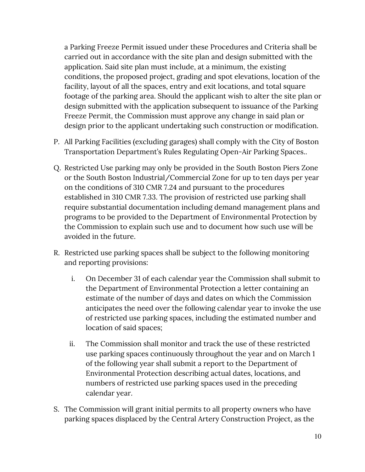a Parking Freeze Permit issued under these Procedures and Criteria shall be carried out in accordance with the site plan and design submitted with the application. Said site plan must include, at a minimum, the existing conditions, the proposed project, grading and spot elevations, location of the facility, layout of all the spaces, entry and exit locations, and total square footage of the parking area. Should the applicant wish to alter the site plan or design submitted with the application subsequent to issuance of the Parking Freeze Permit, the Commission must approve any change in said plan or design prior to the applicant undertaking such construction or modification.

- P. All Parking Facilities (excluding garages) shall comply with the City of Boston Transportation Department's Rules Regulating Open-Air Parking Spaces..
- Q. Restricted Use parking may only be provided in the South Boston Piers Zone or the South Boston Industrial/Commercial Zone for up to ten days per year on the conditions of 310 CMR 7.24 and pursuant to the procedures established in 310 CMR 7.33. The provision of restricted use parking shall require substantial documentation including demand management plans and programs to be provided to the Department of Environmental Protection by the Commission to explain such use and to document how such use will be avoided in the future.
- R. Restricted use parking spaces shall be subject to the following monitoring and reporting provisions:
	- i. On December 31 of each calendar year the Commission shall submit to the Department of Environmental Protection a letter containing an estimate of the number of days and dates on which the Commission anticipates the need over the following calendar year to invoke the use of restricted use parking spaces, including the estimated number and location of said spaces;
	- ii. The Commission shall monitor and track the use of these restricted use parking spaces continuously throughout the year and on March 1 of the following year shall submit a report to the Department of Environmental Protection describing actual dates, locations, and numbers of restricted use parking spaces used in the preceding calendar year.
- S. The Commission will grant initial permits to all property owners who have parking spaces displaced by the Central Artery Construction Project, as the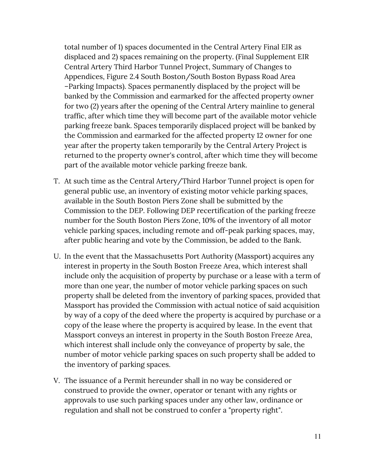total number of 1) spaces documented in the Central Artery Final EIR as displaced and 2) spaces remaining on the property. (Final Supplement EIR Central Artery Third Harbor Tunnel Project, Summary of Changes to Appendices, Figure 2.4 South Boston/South Boston Bypass Road Area –Parking Impacts). Spaces permanently displaced by the project will be banked by the Commission and earmarked for the affected property owner for two (2) years after the opening of the Central Artery mainline to general traffic, after which time they will become part of the available motor vehicle parking freeze bank. Spaces temporarily displaced project will be banked by the Commission and earmarked for the affected property 12 owner for one year after the property taken temporarily by the Central Artery Project is returned to the property owner's control, after which time they will become part of the available motor vehicle parking freeze bank.

- T. At such time as the Central Artery/Third Harbor Tunnel project is open for general public use, an inventory of existing motor vehicle parking spaces, available in the South Boston Piers Zone shall be submitted by the Commission to the DEP. Following DEP recertification of the parking freeze number for the South Boston Piers Zone, 10% of the inventory of all motor vehicle parking spaces, including remote and off-peak parking spaces, may, after public hearing and vote by the Commission, be added to the Bank.
- U. In the event that the Massachusetts Port Authority (Massport) acquires any interest in property in the South Boston Freeze Area, which interest shall include only the acquisition of property by purchase or a lease with a term of more than one year, the number of motor vehicle parking spaces on such property shall be deleted from the inventory of parking spaces, provided that Massport has provided the Commission with actual notice of said acquisition by way of a copy of the deed where the property is acquired by purchase or a copy of the lease where the property is acquired by lease. In the event that Massport conveys an interest in property in the South Boston Freeze Area, which interest shall include only the conveyance of property by sale, the number of motor vehicle parking spaces on such property shall be added to the inventory of parking spaces.
- V. The issuance of a Permit hereunder shall in no way be considered or construed to provide the owner, operator or tenant with any rights or approvals to use such parking spaces under any other law, ordinance or regulation and shall not be construed to confer a "property right".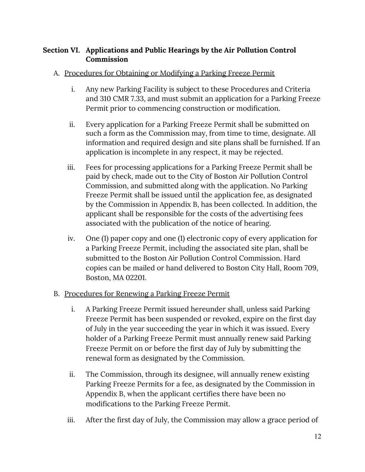#### **Section VI. Applications and Public Hearings by the Air Pollution Control Commission**

#### A. Procedures for Obtaining or Modifying a Parking Freeze Permit

- i. Any new Parking Facility is subject to these Procedures and Criteria and 310 CMR 7.33, and must submit an application for a Parking Freeze Permit prior to commencing construction or modification.
- ii. Every application for a Parking Freeze Permit shall be submitted on such a form as the Commission may, from time to time, designate. All information and required design and site plans shall be furnished. If an application is incomplete in any respect, it may be rejected.
- iii. Fees for processing applications for a Parking Freeze Permit shall be paid by check, made out to the City of Boston Air Pollution Control Commission, and submitted along with the application. No Parking Freeze Permit shall be issued until the application fee, as designated by the Commission in Appendix B, has been collected. In addition, the applicant shall be responsible for the costs of the advertising fees associated with the publication of the notice of hearing.
- iv. One (1) paper copy and one (1) electronic copy of every application for a Parking Freeze Permit, including the associated site plan, shall be submitted to the Boston Air Pollution Control Commission. Hard copies can be mailed or hand delivered to Boston City Hall, Room 709, Boston, MA 02201.

#### B. Procedures for Renewing a Parking Freeze Permit

- i. A Parking Freeze Permit issued hereunder shall, unless said Parking Freeze Permit has been suspended or revoked, expire on the first day of July in the year succeeding the year in which it was issued. Every holder of a Parking Freeze Permit must annually renew said Parking Freeze Permit on or before the first day of July by submitting the renewal form as designated by the Commission.
- ii. The Commission, through its designee, will annually renew existing Parking Freeze Permits for a fee, as designated by the Commission in Appendix B, when the applicant certifies there have been no modifications to the Parking Freeze Permit.
- iii. After the first day of July, the Commission may allow a grace period of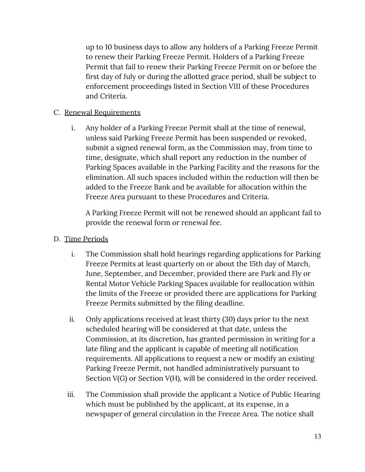up to 10 business days to allow any holders of a Parking Freeze Permit to renew their Parking Freeze Permit. Holders of a Parking Freeze Permit that fail to renew their Parking Freeze Permit on or before the first day of July or during the allotted grace period, shall be subject to enforcement proceedings listed in Section VIII of these Procedures and Criteria.

#### C. Renewal Requirements

i. Any holder of a Parking Freeze Permit shall at the time of renewal, unless said Parking Freeze Permit has been suspended or revoked, submit a signed renewal form, as the Commission may, from time to time, designate, which shall report any reduction in the number of Parking Spaces available in the Parking Facility and the reasons for the elimination. All such spaces included within the reduction will then be added to the Freeze Bank and be available for allocation within the Freeze Area pursuant to these Procedures and Criteria.

A Parking Freeze Permit will not be renewed should an applicant fail to provide the renewal form or renewal fee.

#### D. Time Periods

- i. The Commission shall hold hearings regarding applications for Parking Freeze Permits at least quarterly on or about the 15th day of March, June, September, and December, provided there are Park and Fly or Rental Motor Vehicle Parking Spaces available for reallocation within the limits of the Freeze or provided there are applications for Parking Freeze Permits submitted by the filing deadline.
- ii. Only applications received at least thirty (30) days prior to the next scheduled hearing will be considered at that date, unless the Commission, at its discretion, has granted permission in writing for a late filing and the applicant is capable of meeting all notification requirements. All applications to request a new or modify an existing Parking Freeze Permit, not handled administratively pursuant to Section V(G) or Section V(H), will be considered in the order received.
- iii. The Commission shall provide the applicant a Notice of Public Hearing which must be published by the applicant, at its expense, in a newspaper of general circulation in the Freeze Area. The notice shall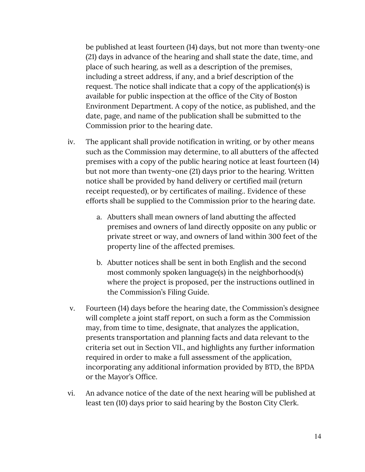be published at least fourteen (14) days, but not more than twenty-one (21) days in advance of the hearing and shall state the date, time, and place of such hearing, as well as a description of the premises, including a street address, if any, and a brief description of the request. The notice shall indicate that a copy of the application(s) is available for public inspection at the office of the City of Boston Environment Department. A copy of the notice, as published, and the date, page, and name of the publication shall be submitted to the Commission prior to the hearing date.

- iv. The applicant shall provide notification in writing, or by other means such as the Commission may determine, to all abutters of the affected premises with a copy of the public hearing notice at least fourteen (14) but not more than twenty-one (21) days prior to the hearing. Written notice shall be provided by hand delivery or certified mail (return receipt requested), or by certificates of mailing.. Evidence of these efforts shall be supplied to the Commission prior to the hearing date.
	- a. Abutters shall mean owners of land abutting the affected premises and owners of land directly opposite on any public or private street or way, and owners of land within 300 feet of the property line of the affected premises.
	- b. Abutter notices shall be sent in both English and the second most commonly spoken language(s) in the neighborhood(s) where the project is proposed, per the instructions outlined in the Commission's Filing Guide.
- v. Fourteen (14) days before the hearing date, the Commission's designee will complete a joint staff report, on such a form as the Commission may, from time to time, designate, that analyzes the application, presents transportation and planning facts and data relevant to the criteria set out in Section VII., and highlights any further information required in order to make a full assessment of the application, incorporating any additional information provided by BTD, the BPDA or the Mayor's Office.
- vi. An advance notice of the date of the next hearing will be published at least ten (10) days prior to said hearing by the Boston City Clerk.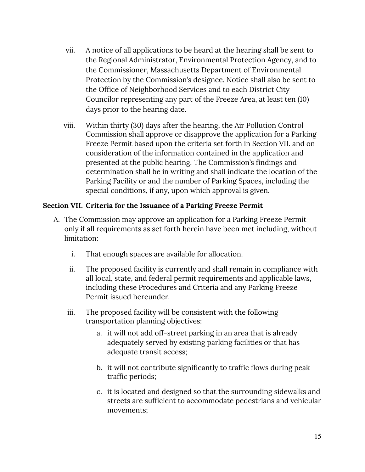- vii. A notice of all applications to be heard at the hearing shall be sent to the Regional Administrator, Environmental Protection Agency, and to the Commissioner, Massachusetts Department of Environmental Protection by the Commission's designee. Notice shall also be sent to the Office of Neighborhood Services and to each District City Councilor representing any part of the Freeze Area, at least ten (10) days prior to the hearing date.
- viii. Within thirty (30) days after the hearing, the Air Pollution Control Commission shall approve or disapprove the application for a Parking Freeze Permit based upon the criteria set forth in Section VII. and on consideration of the information contained in the application and presented at the public hearing. The Commission's findings and determination shall be in writing and shall indicate the location of the Parking Facility or and the number of Parking Spaces, including the special conditions, if any, upon which approval is given.

#### **Section VII. Criteria for the Issuance of a Parking Freeze Permit**

- A. The Commission may approve an application for a Parking Freeze Permit only if all requirements as set forth herein have been met including, without limitation:
	- i. That enough spaces are available for allocation.
	- ii. The proposed facility is currently and shall remain in compliance with all local, state, and federal permit requirements and applicable laws, including these Procedures and Criteria and any Parking Freeze Permit issued hereunder.
	- iii. The proposed facility will be consistent with the following transportation planning objectives:
		- a. it will not add off-street parking in an area that is already adequately served by existing parking facilities or that has adequate transit access;
		- b. it will not contribute significantly to traffic flows during peak traffic periods;
		- c. it is located and designed so that the surrounding sidewalks and streets are sufficient to accommodate pedestrians and vehicular movements;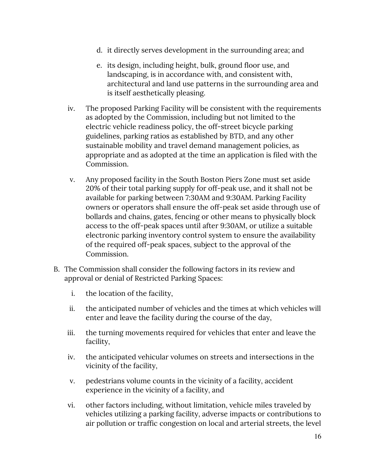- d. it directly serves development in the surrounding area; and
- e. its design, including height, bulk, ground floor use, and landscaping, is in accordance with, and consistent with, architectural and land use patterns in the surrounding area and is itself aesthetically pleasing.
- iv. The proposed Parking Facility will be consistent with the requirements as adopted by the Commission, including but not limited to the electric vehicle readiness policy, the off-street bicycle parking guidelines, parking ratios as established by BTD, and any other sustainable mobility and travel demand management policies, as appropriate and as adopted at the time an application is filed with the Commission.
- v. Any proposed facility in the South Boston Piers Zone must set aside 20% of their total parking supply for off-peak use, and it shall not be available for parking between 7:30AM and 9:30AM. Parking Facility owners or operators shall ensure the off-peak set aside through use of bollards and chains, gates, fencing or other means to physically block access to the off-peak spaces until after 9:30AM, or utilize a suitable electronic parking inventory control system to ensure the availability of the required off-peak spaces, subject to the approval of the Commission.
- B. The Commission shall consider the following factors in its review and approval or denial of Restricted Parking Spaces:
	- i. the location of the facility,
	- ii. the anticipated number of vehicles and the times at which vehicles will enter and leave the facility during the course of the day,
	- iii. the turning movements required for vehicles that enter and leave the facility,
	- iv. the anticipated vehicular volumes on streets and intersections in the vicinity of the facility,
	- v. pedestrians volume counts in the vicinity of a facility, accident experience in the vicinity of a facility, and
	- vi. other factors including, without limitation, vehicle miles traveled by vehicles utilizing a parking facility, adverse impacts or contributions to air pollution or traffic congestion on local and arterial streets, the level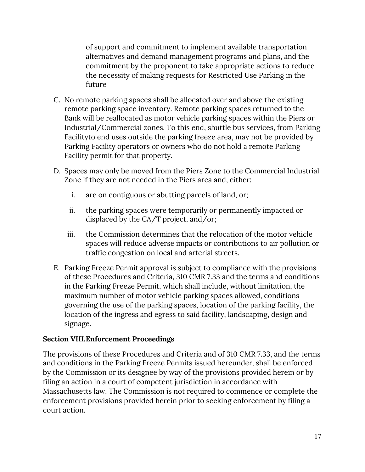of support and commitment to implement available transportation alternatives and demand management programs and plans, and the commitment by the proponent to take appropriate actions to reduce the necessity of making requests for Restricted Use Parking in the future

- C. No remote parking spaces shall be allocated over and above the existing remote parking space inventory. Remote parking spaces returned to the Bank will be reallocated as motor vehicle parking spaces within the Piers or Industrial/Commercial zones. To this end, shuttle bus services, from Parking Facilityto end uses outside the parking freeze area, may not be provided by Parking Facility operators or owners who do not hold a remote Parking Facility permit for that property.
- D. Spaces may only be moved from the Piers Zone to the Commercial Industrial Zone if they are not needed in the Piers area and, either:
	- i. are on contiguous or abutting parcels of land, or;
	- ii. the parking spaces were temporarily or permanently impacted or displaced by the CA/T project, and/or;
	- iii. the Commission determines that the relocation of the motor vehicle spaces will reduce adverse impacts or contributions to air pollution or traffic congestion on local and arterial streets.
- E. Parking Freeze Permit approval is subject to compliance with the provisions of these Procedures and Criteria, 310 CMR 7.33 and the terms and conditions in the Parking Freeze Permit, which shall include, without limitation, the maximum number of motor vehicle parking spaces allowed, conditions governing the use of the parking spaces, location of the parking facility, the location of the ingress and egress to said facility, landscaping, design and signage.

#### **Section VIII.Enforcement Proceedings**

The provisions of these Procedures and Criteria and of 310 CMR 7.33, and the terms and conditions in the Parking Freeze Permits issued hereunder, shall be enforced by the Commission or its designee by way of the provisions provided herein or by filing an action in a court of competent jurisdiction in accordance with Massachusetts law. The Commission is not required to commence or complete the enforcement provisions provided herein prior to seeking enforcement by filing a court action.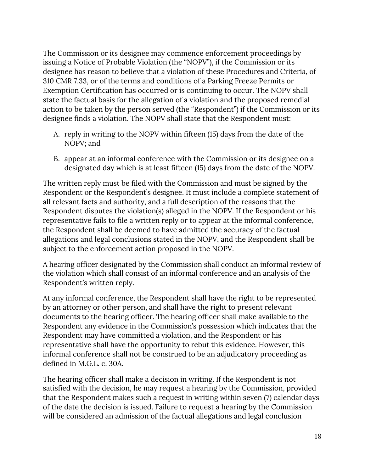The Commission or its designee may commence enforcement proceedings by issuing a Notice of Probable Violation (the "NOPV"), if the Commission or its designee has reason to believe that a violation of these Procedures and Criteria, of 310 CMR 7.33, or of the terms and conditions of a Parking Freeze Permits or Exemption Certification has occurred or is continuing to occur. The NOPV shall state the factual basis for the allegation of a violation and the proposed remedial action to be taken by the person served (the "Respondent") if the Commission or its designee finds a violation. The NOPV shall state that the Respondent must:

- A. reply in writing to the NOPV within fifteen (15) days from the date of the NOPV; and
- B. appear at an informal conference with the Commission or its designee on a designated day which is at least fifteen (15) days from the date of the NOPV.

The written reply must be filed with the Commission and must be signed by the Respondent or the Respondent's designee. It must include a complete statement of all relevant facts and authority, and a full description of the reasons that the Respondent disputes the violation(s) alleged in the NOPV. If the Respondent or his representative fails to file a written reply or to appear at the informal conference, the Respondent shall be deemed to have admitted the accuracy of the factual allegations and legal conclusions stated in the NOPV, and the Respondent shall be subject to the enforcement action proposed in the NOPV.

A hearing officer designated by the Commission shall conduct an informal review of the violation which shall consist of an informal conference and an analysis of the Respondent's written reply.

At any informal conference, the Respondent shall have the right to be represented by an attorney or other person, and shall have the right to present relevant documents to the hearing officer. The hearing officer shall make available to the Respondent any evidence in the Commission's possession which indicates that the Respondent may have committed a violation, and the Respondent or his representative shall have the opportunity to rebut this evidence. However, this informal conference shall not be construed to be an adjudicatory proceeding as defined in M.G.L. c. 30A.

The hearing officer shall make a decision in writing. If the Respondent is not satisfied with the decision, he may request a hearing by the Commission, provided that the Respondent makes such a request in writing within seven (7) calendar days of the date the decision is issued. Failure to request a hearing by the Commission will be considered an admission of the factual allegations and legal conclusion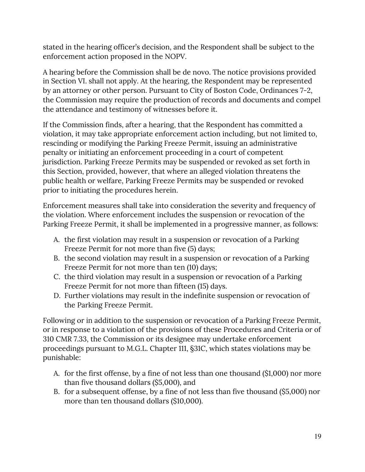stated in the hearing officer's decision, and the Respondent shall be subject to the enforcement action proposed in the NOPV.

A hearing before the Commission shall be de novo. The notice provisions provided in Section VI. shall not apply. At the hearing, the Respondent may be represented by an attorney or other person. Pursuant to City of Boston Code, Ordinances 7-2, the Commission may require the production of records and documents and compel the attendance and testimony of witnesses before it.

If the Commission finds, after a hearing, that the Respondent has committed a violation, it may take appropriate enforcement action including, but not limited to, rescinding or modifying the Parking Freeze Permit, issuing an administrative penalty or initiating an enforcement proceeding in a court of competent jurisdiction. Parking Freeze Permits may be suspended or revoked as set forth in this Section, provided, however, that where an alleged violation threatens the public health or welfare, Parking Freeze Permits may be suspended or revoked prior to initiating the procedures herein.

Enforcement measures shall take into consideration the severity and frequency of the violation. Where enforcement includes the suspension or revocation of the Parking Freeze Permit, it shall be implemented in a progressive manner, as follows:

- A. the first violation may result in a suspension or revocation of a Parking Freeze Permit for not more than five (5) days;
- B. the second violation may result in a suspension or revocation of a Parking Freeze Permit for not more than ten (10) days;
- C. the third violation may result in a suspension or revocation of a Parking Freeze Permit for not more than fifteen (15) days.
- D. Further violations may result in the indefinite suspension or revocation of the Parking Freeze Permit.

Following or in addition to the suspension or revocation of a Parking Freeze Permit, or in response to a violation of the provisions of these Procedures and Criteria or of 310 CMR 7.33, the Commission or its designee may undertake enforcement proceedings pursuant to M.G.L. Chapter 111, §31C, which states violations may be punishable:

- A. for the first offense, by a fine of not less than one thousand (\$1,000) nor more than five thousand dollars (\$5,000), and
- B. for a subsequent offense, by a fine of not less than five thousand (\$5,000) nor more than ten thousand dollars (\$10,000).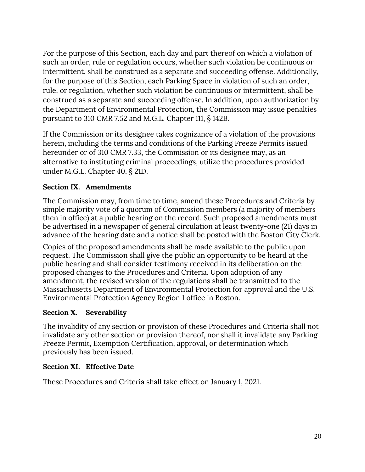For the purpose of this Section, each day and part thereof on which a violation of such an order, rule or regulation occurs, whether such violation be continuous or intermittent, shall be construed as a separate and succeeding offense. Additionally, for the purpose of this Section, each Parking Space in violation of such an order, rule, or regulation, whether such violation be continuous or intermittent, shall be construed as a separate and succeeding offense. In addition, upon authorization by the Department of Environmental Protection, the Commission may issue penalties pursuant to 310 CMR 7.52 and M.G.L. Chapter 111, § 142B.

If the Commission or its designee takes cognizance of a violation of the provisions herein, including the terms and conditions of the Parking Freeze Permits issued hereunder or of 310 CMR 7.33, the Commission or its designee may, as an alternative to instituting criminal proceedings, utilize the procedures provided under M.G.L. Chapter 40, § 21D.

#### **Section IX. Amendments**

The Commission may, from time to time, amend these Procedures and Criteria by simple majority vote of a quorum of Commission members (a majority of members then in office) at a public hearing on the record. Such proposed amendments must be advertised in a newspaper of general circulation at least twenty-one (21) days in advance of the hearing date and a notice shall be posted with the Boston City Clerk.

Copies of the proposed amendments shall be made available to the public upon request. The Commission shall give the public an opportunity to be heard at the public hearing and shall consider testimony received in its deliberation on the proposed changes to the Procedures and Criteria. Upon adoption of any amendment, the revised version of the regulations shall be transmitted to the Massachusetts Department of Environmental Protection for approval and the U.S. Environmental Protection Agency Region 1 office in Boston.

#### **Section X. Severability**

The invalidity of any section or provision of these Procedures and Criteria shall not invalidate any other section or provision thereof, nor shall it invalidate any Parking Freeze Permit, Exemption Certification, approval, or determination which previously has been issued.

#### **Section XI. Effective Date**

These Procedures and Criteria shall take effect on January 1, 2021.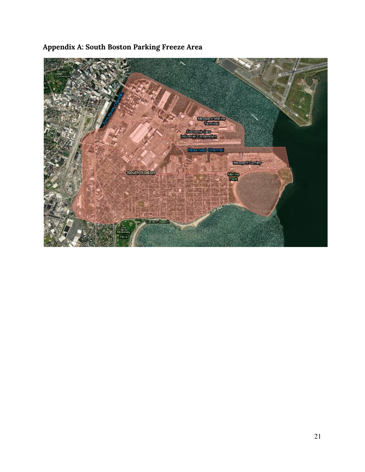### **Appendix A: South Boston Parking Freeze Area**